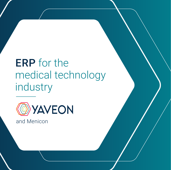# ERP for the medical technology industry



and Menicon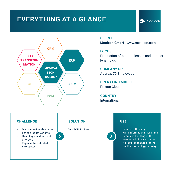# **EVERYTHING AT A GLANCE**



# **CLIENT**

**Menicon GmbH** | www.menicon.com

**FOCUS**

Production of contact lenses and contact lens fluids

**La** Menicon

**COMPANY SIZE** Approx. 70 Employees

**OPERATING MODEL** Private Cloud

**COUNTRY** International

 $\blacktriangleright$ 

# **CHALLENGE**

- Map a considerable number of product variants
- Handling a vast amount of orders
- Replace the outdated ERP system

# **SOLUTION**

 $\blacktriangleright$ 

YAVEON ProBatch

# **USE**

- Increase efficiency
- More information in less time
- Seamless handling of the solution within a short time
- All required features for the medical technology industry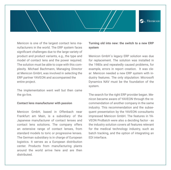

Menicon is one of the largest contact lens manufacturers in the world. The ERP system faces significant challenges due to the large variety of product and product variants, e.g., the type and model of contact lens and the power required. The solution must be able to cope with this complexity. Michael Bachmann, Managing Director at Menicon GmbH, was involved in selecting the ERP partner YAVEON and accompanied the entire project.

The implementation went well but then came the go-live.

#### **Contact lens manufacturer with passion**

Menicon GmbH, based in Offenbach near Frankfurt am Main, is a subsidiary of the Japanese manufacturer of contact lenses and contact lens solutions. The company offers an extensive range of contact lenses, from standard models to toric or progressive lenses. The German subsidiary is in charge of European logistics. It serves as a European distribution center. Products from manufacturing plants around the world arrive here and are then distributed.

# **Turning old into new: the switch to a new ERP system**

Menicon GmbH´s legacy ERP solution was due for replacement. The solution was installed in the 1980s and repeatedly caused problems, for example, errors in report creation. It was clear: Menicon needed a new ERP system with industry features. The only stipulation: Microsoft Dynamics NAV must be the foundation of the system.

The search for the right ERP provider began. Menicon became aware of YAVEON through the recommendation of another company in the same industry. This recommendation and the subsequent presentation by the YAVEON consultants impressed Menicon GmbH. The features in YA-VEON ProBatch were also a deciding factor - as the industry solution covers all features relevant for the medical technology industry, such as batch tracking, and the option of integrating an EDI interface.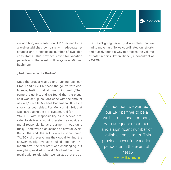

«In addition, we wanted our ERP partner to be a well-established company with adequate resources and a significant number of available consultants. This provides cover for vacation periods or in the event of illness,» says Michael Bachmann.

live wasn't going perfectly, it was clear that we had to move fast. So we coordinated our efforts and quickly found a way to process the volume of data," reports Stefan Hippeli, a consultant at YAVEON.

#### **"And then came the Go-live."**

Once the project was up and running, Menicon GmbH and YAVEON faced the go-live with confidence, feeling that all was going well. "Then came the go-live, and we found that the cloud, as it was set up, couldn't cope with the amount of data," recalls Michael Bachmann. It was a shock for both sides: For Menicon GmbH, that was introducing the ERP system. And for YAVEON, with responsibility as a service provider to deliver a working system alongside a moral responsibility as a partner. "It was quite tricky. There were discussions on several levels. But in the end, the solution was soon found. YAVEON did everything they could to find the answer swiftly. Everyone pulled together. The month after the real start was challenging, but everything worked out well," Michael Bachmann recalls with relief. "When we realized that the go-

»In addition, we wanted our ERP partner to be a well-established company with adequate resources and a significant number of available consultants. This provides cover for vacation periods or in the event of illness.« Michael Bachmann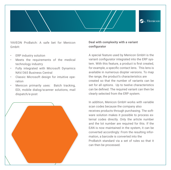

YAVEON ProBatch: A safe bet for Menicon GmbH:

- ERP industry solution
- Meets the requirements of the medical technology industry
- Fully integrated with Microsoft Dynamics NAV/365 Business Central
- Classic Microsoft design for intuitive operation
- Menicon primarily uses: Batch tracking, EDI, mobile dialog/scanner solutions, mail dispatch/e-post



# **Deal with complexity with a variant configurator**

A special feature used by Menicon GmbH is the variant configurator integrated into the ERP system. With this feature, a product is first created, for example, a specific contact lens. This lens is available in numerous diopter versions. To map the range, the product's characteristics are created so that the number of variants can be set for all options. Up to twelve characteristics can be defined. The required variant can then be clearly selected from the ERP system.

In addition, Menicon GmbH works with variable scan codes because the company also receives products through purchasing. The software solution makes it possible to process external codes directly. Only the article number and the lot number are required for this. If the EAN is now maintained in the system, it can be converted accordingly: From the resulting information, a barcode is converted into the ProBatch standard via a set of rules so that it can then be processed.